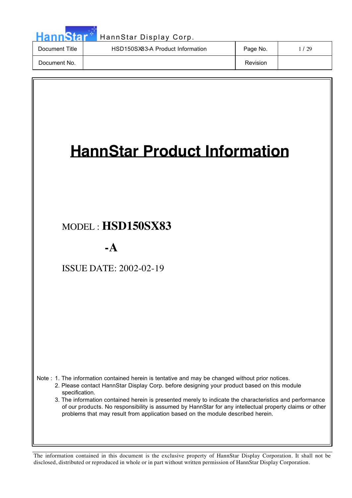| <b>HannStar</b> | HannStar Display Corp.           |          |        |
|-----------------|----------------------------------|----------|--------|
| Document Title  | HSD150SX83-A Product Information | Page No. | 1 / 29 |
| Document No.    |                                  | Revision |        |
|                 |                                  |          |        |
|                 |                                  |          |        |

| <b>HannStar Product Information</b>                                                                                                                                                                                                                                                                                                                                                                                                                                                                                        |
|----------------------------------------------------------------------------------------------------------------------------------------------------------------------------------------------------------------------------------------------------------------------------------------------------------------------------------------------------------------------------------------------------------------------------------------------------------------------------------------------------------------------------|
| MODEL: HSD150SX83                                                                                                                                                                                                                                                                                                                                                                                                                                                                                                          |
| $-A$                                                                                                                                                                                                                                                                                                                                                                                                                                                                                                                       |
| <b>ISSUE DATE: 2002-02-19</b>                                                                                                                                                                                                                                                                                                                                                                                                                                                                                              |
| Note: 1. The information contained herein is tentative and may be changed without prior notices.<br>2. Please contact HannStar Display Corp. before designing your product based on this module<br>specification.<br>3. The information contained herein is presented merely to indicate the characteristics and performance<br>of our products. No responsibility is assumed by HannStar for any intellectual property claims or other<br>problems that may result from application based on the module described herein. |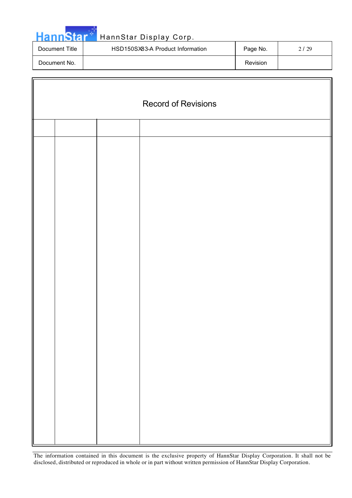|  |  |  | HannStar <sup>**</sup> |
|--|--|--|------------------------|
|  |  |  |                        |
|  |  |  |                        |

c

# HannStar Display Corp.

| Document Title | HSD150SX83-A Product Information | Page No. | 2 / 29 |
|----------------|----------------------------------|----------|--------|
| Document No.   |                                  | Revision |        |

| <b>Record of Revisions</b> |  |  |  |  |
|----------------------------|--|--|--|--|
|                            |  |  |  |  |
|                            |  |  |  |  |
|                            |  |  |  |  |
|                            |  |  |  |  |
|                            |  |  |  |  |
|                            |  |  |  |  |
|                            |  |  |  |  |
|                            |  |  |  |  |
|                            |  |  |  |  |
|                            |  |  |  |  |
|                            |  |  |  |  |
|                            |  |  |  |  |
|                            |  |  |  |  |
|                            |  |  |  |  |
|                            |  |  |  |  |
|                            |  |  |  |  |
|                            |  |  |  |  |
|                            |  |  |  |  |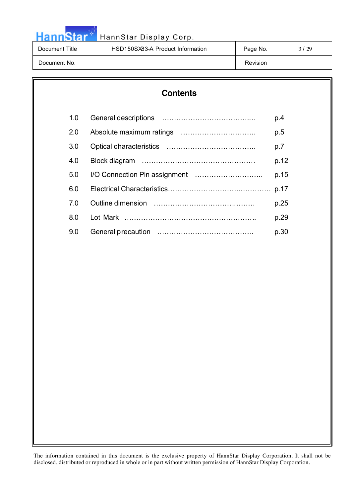**Hann**Star HannStar Display Corp. Document Title | HSD150SX83-A Product Information | Page No. | 3/29 Document No. No. 2006 and the set of the set of the set of the set of the set of the set of the set of the set of the set of the set of the set of the set of the set of the set of the set of the set of the set of the set o

# **Contents** 1.0 General descriptions ……………………………….… p.4 2.0 Absolute maximum ratings ………………………….. p.5 3.0 Optical characteristics ……………………………….. p.7 4.0 Block diagram ………………………………………… p.12 5.0 I/O Connection Pin assignment ……………………….. p.15 6.0 Electrical Characteristics………………………….…………. p.17 7.0 Outline dimension …………………………….……… p.25 8.0 Lot Mark ……………………………………………….. p.29 9.0 General precaution …………………………………………………… p.30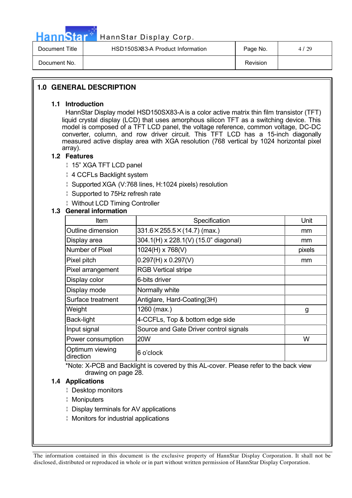

# HannStar<sup>ti</sup> HannStar Display Corp.

| Document Title | HSD150SX83-A Product Information | Page No. | 4/29 |
|----------------|----------------------------------|----------|------|
| Document No.   |                                  | Revision |      |

### **1.0 GENERAL DESCRIPTION**

#### **1.1 Introduction**

HannStar Display model HSD150SX83-A is a color active matrix thin film transistor (TFT) liquid crystal display (LCD) that uses amorphous silicon TFT as a switching device. This model is composed of a TFT LCD panel, the voltage reference, common voltage, DC-DC converter, column, and row driver circuit. This TFT LCD has a 15-inch diagonally measured active display area with XGA resolution (768 vertical by 1024 horizontal pixel array).

#### **1.2 Features**

¦ 15" XGA TFT LCD panel

- ¦ 4 CCFLs Backlight system
- ¦ Supported XGA (V:768 lines, H:1024 pixels) resolution
- ¦ Supported to 75Hz refresh rate
- ¦ Without LCD Timing Controller

#### **1.3 General information**

| Item                         | Specification                             | Unit          |
|------------------------------|-------------------------------------------|---------------|
| Outline dimension            | $331.6 \times 255.5 \times (14.7)$ (max.) | mm            |
| Display area                 | 304.1(H) x 228.1(V) (15.0" diagonal)      | <sub>mm</sub> |
| Number of Pixel              | 1024(H) x 768(V)                          | pixels        |
| Pixel pitch                  | $0.297(H) \times 0.297(V)$                | mm            |
| Pixel arrangement            | <b>RGB Vertical stripe</b>                |               |
| Display color                | 6-bits driver                             |               |
| Display mode                 | Normally white                            |               |
| Surface treatment            | Antiglare, Hard-Coating(3H)               |               |
| Weight                       | 1260 (max.)                               | g             |
| Back-light                   | 4-CCFLs, Top & bottom edge side           |               |
| Input signal                 | Source and Gate Driver control signals    |               |
| Power consumption            | <b>20W</b>                                | W             |
| Optimum viewing<br>direction | 6 o'clock                                 |               |

\*Note: X-PCB and Backlight is covered by this AL-cover. Please refer to the back view drawing on page 28.

#### **1.4 Applications**

- ¦ Desktop monitors
- ¦ Moniputers
- ¦ Display terminals for AV applications
- ¦ Monitors for industrial applications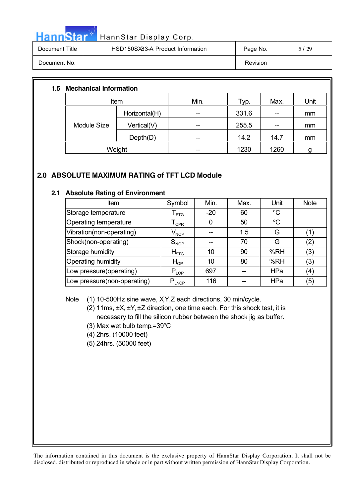| - | Нa |
|---|----|
|   |    |

#### nnStar Display Corp.

| Document Title | HSD150SX83-A Product Information | Page No. | /29 |
|----------------|----------------------------------|----------|-----|
| Document No.   |                                  | Revision |     |

#### **1.5 Mechanical Information**

|                    | Item          | Min. | Typ.  | Max. | Unit |  |
|--------------------|---------------|------|-------|------|------|--|
|                    | Horizontal(H) | --   | 331.6 | --   | mm   |  |
| <b>Module Size</b> | Vertical(V)   | --   | 255.5 | --   | mm   |  |
|                    | Depth(D)      | --   | 14.2  | 14.7 | mm   |  |
|                    | Weight        | --   | 1230  | 1260 |      |  |

### **2.0 ABSOLUTE MAXIMUM RATING of TFT LCD Module**

#### **2.1 Absolute Rating of Environment**

| Item                         | Symbol                      | Min.  | Max. | Unit            | <b>Note</b>       |
|------------------------------|-----------------------------|-------|------|-----------------|-------------------|
| Storage temperature          | l <sub>STG</sub>            | $-20$ | 60   | $\rm ^{\circ}C$ |                   |
| <b>Operating temperature</b> | $\mathsf{T}_{\mathsf{OPR}}$ |       | 50   | $\rm ^{o}C$     |                   |
| Vibration(non-operating)     | $\mathsf{V}_{\mathsf{NOP}}$ |       | 1.5  | G               | $\left( 1\right)$ |
| Shock(non-operating)         | $\mathsf{S}_{\mathsf{NOP}}$ |       | 70   | G               | $\binom{2}{}$     |
| Storage humidity             | $H_{\mathrm{STG}}$          | 10    | 90   | %RH             | (3)               |
| Operating humidity           | $H_{OP}$                    | 10    | 80   | %RH             | (3)               |
| Low pressure(operating)      | $P_{LOP}$                   | 697   |      | <b>HPa</b>      | (4)               |
| Low pressure(non-operating)  | $P_{L NQP}$                 | 116   |      | HPa             | (5)               |

Note (1) 10-500Hz sine wave, X,Y,Z each directions, 30 min/cycle.

- (2) 11ms, ±X, ±Y, ±Z direction, one time each. For this shock test, it is necessary to fill the silicon rubber between the shock jig as buffer.
- $(3)$  Max wet bulb temp.=39 $\mathrm{^{\circ}C}$
- (4) 2hrs. (10000 feet)
- (5) 24hrs. (50000 feet)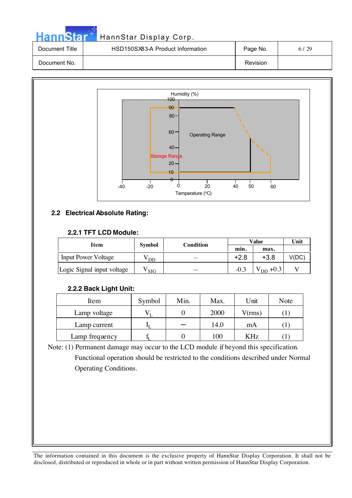| <b>HannStar</b> | HannStar Display Corp.           |          |      |
|-----------------|----------------------------------|----------|------|
| Document Title  | HSD150SX83-A Product Information | Page No. | 6/29 |
| Document No.    |                                  | Revision |      |



#### **2.2 Electrical Absolute Rating:**

#### **2.2.1 TFT LCD Module:**

| Item                       |               | Condition |        | Value                           | Unit  |
|----------------------------|---------------|-----------|--------|---------------------------------|-------|
|                            | <b>Symbol</b> |           | min.   | max.                            |       |
| <b>Input Power Voltage</b> | DD            |           | $+2.8$ | $+3.8$                          | V(DC) |
| Logic Signal input voltage | SIG           | $ -$      | $-0.3$ | $\mathrm{V}_{\mathrm{DD}}$ +0.3 |       |

#### **2.2.2 Back Light Unit:**

| Item           | Symbol | Min. | Max. | Unit   | Note |
|----------------|--------|------|------|--------|------|
| Lamp voltage   |        |      | 2000 | V(rms) |      |
| Lamp current   |        |      | 14.0 | mA     |      |
| Lamp frequency |        |      | 100  | KHz    |      |

Note: (1) Permanent damage may occur to the LCD module if beyond this specification. Functional operation should be restricted to the conditions described under Normal Operating Conditions.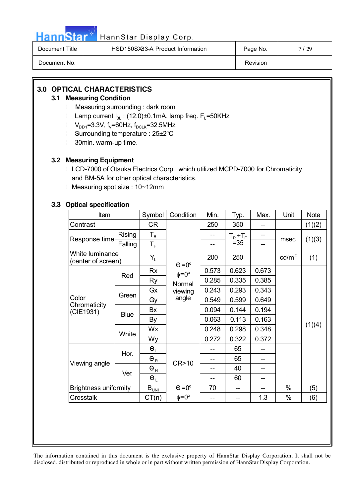|  |  | <b>HannStar</b> |  |
|--|--|-----------------|--|
|  |  |                 |  |
|  |  |                 |  |

# HannStar Display Corp.

| Document Title | HSD150SX83-A Product Information | Page No. | 7/29 |
|----------------|----------------------------------|----------|------|
| Document No.   |                                  | Revision |      |

## **3.0 OPTICAL CHARACTERISTICS**

#### **3.1 Measuring Condition**

- ¦ Measuring surrounding : dark room
- $\parallel$  Lamp current  $I_{BL}$ : (12.0)±0.1mA, lamp freq. F<sub>L</sub>=50KHz
- $V_{DD1}=3.3V$ , f<sub>V</sub>=60Hz, f<sub>DCLK</sub>=32.5MHz
- Surrounding temperature: 25±2<sup>o</sup>C
- ¦ 30min. warm-up time.

#### **3.2 Measuring Equipment**

- ¦ LCD-7000 of Otsuka Electrics Corp., which utilized MCPD-7000 for Chromaticity and BM-5A for other optical characteristics.
- ¦ Measuring spot size : 10~12mm

#### **3.3 Optical specification**

| Item                                  |               |                                                          | Condition          | Min.  | Typ.          | Max.  | Unit            | <b>Note</b> |
|---------------------------------------|---------------|----------------------------------------------------------|--------------------|-------|---------------|-------|-----------------|-------------|
| Contrast                              |               | CR                                                       |                    | 250   | 350           | --    |                 | (1)(2)      |
|                                       | <b>Rising</b> | $T_R$                                                    |                    |       | $T_R$ + $T_F$ |       |                 |             |
| Response time                         | Falling       | $T_F$                                                    |                    |       | $= 35$        |       | msec            | (1)(3)      |
| White luminance<br>(center of screen) |               | $Y_{L}$                                                  | $\Theta = 0^\circ$ | 200   | 250           |       | $\text{cd/m}^2$ | (1)         |
|                                       | Red           | <b>Rx</b>                                                | $\phi = 0^\circ$   | 0.573 | 0.623         | 0.673 |                 |             |
|                                       |               | <b>Ry</b>                                                | Normal             | 0.285 | 0.335         | 0.385 |                 |             |
|                                       |               | Gx                                                       | viewing            | 0.243 | 0.293         | 0.343 |                 |             |
| Color                                 | Green         | Gy                                                       | angle              | 0.549 | 0.599         | 0.649 |                 |             |
| Chromaticity<br>(CIE1931)             | <b>Blue</b>   | Bx                                                       |                    | 0.094 | 0.144         | 0.194 |                 |             |
|                                       |               | By                                                       |                    | 0.063 | 0.113         | 0.163 |                 |             |
|                                       | White         | Wx                                                       |                    | 0.248 | 0.298         | 0.348 |                 | (1)(4)      |
|                                       |               | Wy                                                       |                    | 0.272 | 0.322         | 0.372 |                 |             |
|                                       | Hor.          | $\Theta_L$                                               |                    |       | 65            |       |                 |             |
| Viewing angle                         |               | $\Theta_R$                                               | CR>10              |       | 65            | --    |                 |             |
|                                       | Ver.          | $\Theta_{\, \text{\tiny{H}}}$                            |                    | --    | 40            | --    |                 |             |
|                                       |               | $\Theta_L$                                               |                    |       | 60            |       |                 |             |
| <b>Brightness uniformity</b>          |               | $\mathsf{B}_{\underbar{\mathsf{U}}\mathsf{N}\mathsf{I}}$ | $\Theta = 0^\circ$ | 70    |               |       | $\%$            | (5)         |
| Crosstalk                             |               | CT(n)                                                    | $\phi = 0^{\circ}$ | --    |               | 1.3   | $\%$            | (6)         |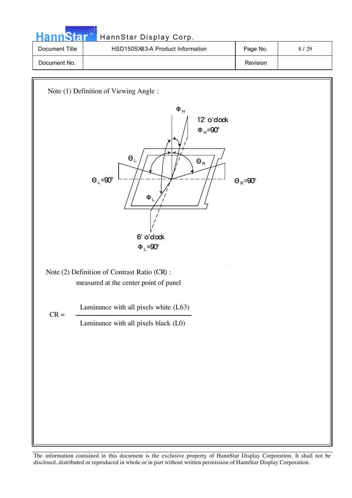| HannStar       | HannStar Display Corp.           |          |      |
|----------------|----------------------------------|----------|------|
| Document Title | HSD150SX83-A Product Information | Page No. | 8/29 |
| Document No.   |                                  | Revision |      |

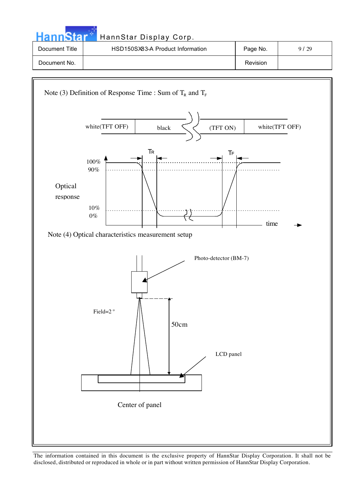| <b>HannStar</b> | HannStar Display Corp.           |                 |      |
|-----------------|----------------------------------|-----------------|------|
| Document Title  | HSD150SX83-A Product Information | Page No.        | 9/29 |
| Document No.    |                                  | <b>Revision</b> |      |
|                 |                                  |                 |      |

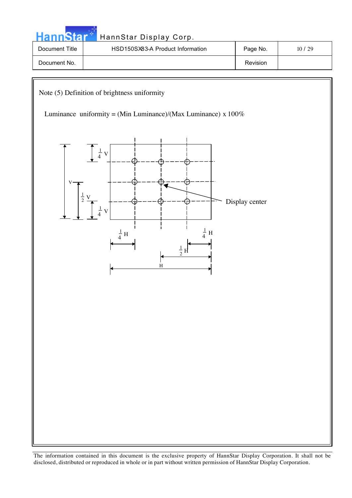| annStar            | HannStar Display Corp.                                                                                                                                                                                           |                |               |
|--------------------|------------------------------------------------------------------------------------------------------------------------------------------------------------------------------------------------------------------|----------------|---------------|
| Document Title     | HSD150SX83-A Product Information                                                                                                                                                                                 | Page No.       | $10\; / \;29$ |
| Document No.       |                                                                                                                                                                                                                  | Revision       |               |
|                    |                                                                                                                                                                                                                  |                |               |
| V<br>$\frac{1}{2}$ | Note (5) Definition of brightness uniformity<br>Luminance uniformity = (Min Luminance)/(Max Luminance) x $100\%$<br>$\frac{1}{4}$ V<br>V<br>$\frac{1}{4}$ H<br>$\frac{1}{4}$ H<br>$\frac{1}{2}$ H<br>$\mathbf H$ | Display center |               |
|                    |                                                                                                                                                                                                                  |                |               |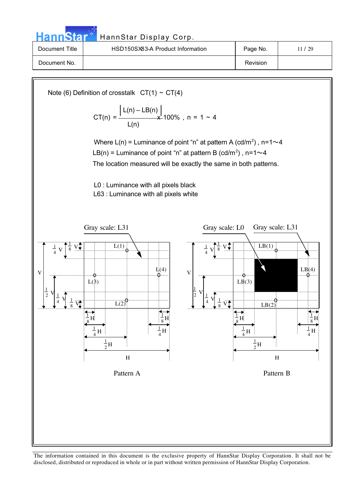| <b>HannStar*</b> | HannStar Display Corp.                                                                                            |          |       |
|------------------|-------------------------------------------------------------------------------------------------------------------|----------|-------|
| Document Title   | HSD150SX83-A Product Information                                                                                  | Page No. | 11/29 |
| Document No.     |                                                                                                                   | Revision |       |
|                  | Note (6) Definition of crosstalk $CT(1) \sim CT(4)$<br>CT(n) = $\frac{ L(n) - LB(n) }{x}$ 100%, n = 1 ~ 4<br>L(n) |          |       |

Where  $L(n)$  = Luminance of point "n" at pattern A (cd/m<sup>2</sup>), n=1 $\sim$ 4 LB(n) = Luminance of point "n" at pattern B (cd/m<sup>2</sup>), n=1 $\sim$ 4

The location measured will be exactly the same in both patterns.

L0 : Luminance with all pixels black L63 : Luminance with all pixels white

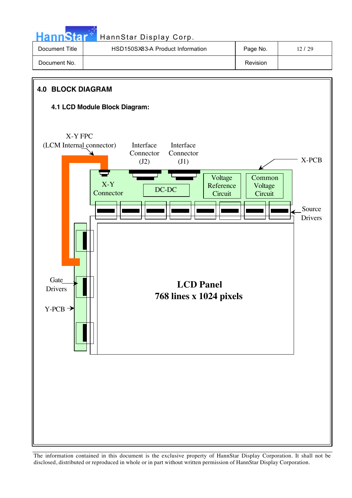**Hann**Star HannStar Display Corp. Document Title | HSD150SX83-A Product Information | Page No. | 12/29 Document No. No. 2006 and the set of the set of the set of the set of the set of the set of the set of the set of the set of the set of the set of the set of the set of the set of the set of the set of the set of the set o

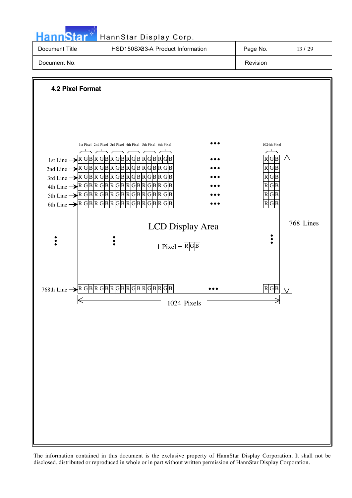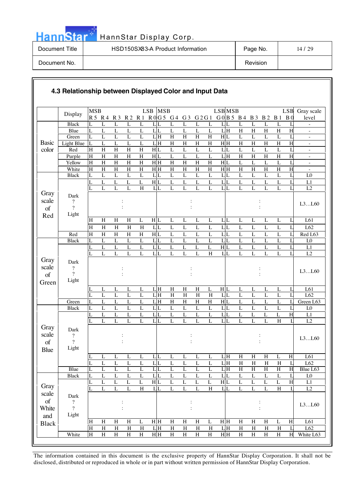| <b>HannStar</b> | HannStar Display Corp.           |          |       |
|-----------------|----------------------------------|----------|-------|
| Document Title  | HSD150SX83-A Product Information | Page No. | 14/29 |
| Document No.    |                                  | Revision |       |

- 11

|              | 4.3 Relationship between Displayed Color and Input Data |                     |                           |                                  |                                  |                         |                     |                           |                              |                                  |                                  |                  |                                  |                                  |                                  |                                  |                     |                          |
|--------------|---------------------------------------------------------|---------------------|---------------------------|----------------------------------|----------------------------------|-------------------------|---------------------|---------------------------|------------------------------|----------------------------------|----------------------------------|------------------|----------------------------------|----------------------------------|----------------------------------|----------------------------------|---------------------|--------------------------|
|              | Display                                                 | <b>MSB</b>          |                           |                                  |                                  |                         | LSB<br><b>MSB</b>   |                           |                              |                                  |                                  | <b>LSBMSB</b>    |                                  |                                  |                                  |                                  | <b>LSB</b>          | Gray scale               |
|              |                                                         |                     | R5 R4 R3                  |                                  | R <sub>2</sub>                   | R <sub>1</sub>          | R0G5 G4 G3          |                           |                              | G 2 G 1                          |                                  | G0B5 B4 B3       |                                  |                                  | <b>B2</b>                        | B <sub>1</sub>                   | B <sub>0</sub>      | level                    |
|              | <b>Black</b>                                            | L                   | L                         | L                                | $\overline{L}$                   | L                       | L<br>L              | L                         | L                            | L                                | L                                | L<br>L           | L                                | $\overline{L}$                   | $\overline{L}$                   | L                                | L                   | $\overline{\phantom{0}}$ |
|              | Blue                                                    | L                   | $\mathbf L$               | $\mathbf L$                      | L                                | L                       | $L_{L}$             | L                         | L                            | $\mathbf L$                      | L                                | LH               | $\, {\rm H}$                     | $H_{\rm}$                        | $\boldsymbol{\mathrm{H}}$        | H                                | H                   | $\overline{\phantom{a}}$ |
| <b>Basic</b> | Green<br>Light Blue                                     | L<br>L              | $\overline{L}$<br>L       | L<br>$\overline{L}$              | $\overline{L}$<br>L              | $\overline{L}$<br>L     | LH<br>LH            | $\overline{H}$<br>$\rm H$ | H<br>$\overline{\mathrm{H}}$ | $\overline{H}$<br>$\overline{H}$ | $\overline{H}$<br>$\overline{H}$ | H L<br>H H       | $\overline{L}$<br>$\overline{H}$ | $\overline{L}$<br>$\overline{H}$ | $\overline{L}$<br>$\overline{H}$ | L<br>$\boldsymbol{\mathrm{H}}$   | L<br>$\overline{H}$ | ÷,                       |
| color        | Red                                                     | H                   | $\mathbf H$               | $\overline{H}$                   | $\overline{H}$                   | $\overline{H}$          | H L                 | L                         | L                            | $\mathbf{L}$                     | $\overline{L}$                   | $L_{L}$          | $\mathbf L$                      | $\overline{L}$                   | $\overline{L}$                   | L                                | L                   | $\overline{\phantom{0}}$ |
|              | Purple                                                  | $\overline{H}$      | $\rm H$                   | $\overline{\mathrm{H}}$          | H                                | $\overline{\mathrm{H}}$ | H L                 | $\mathbf L$               | $\mathbf L$                  | L                                | $\overline{L}$                   | $L$ H            | H                                | $\overline{H}$                   | H                                | $\mathbf H$                      | $\overline{H}$      | $\overline{\phantom{0}}$ |
|              | Yellow                                                  | $\overline{H}$      | $\mathbf H$               | $\boldsymbol{\mathrm{H}}$        | $\boldsymbol{\mathrm{H}}$        | H                       | H H                 | $\rm H$                   | $H_{\rm}$                    | H                                | $\boldsymbol{\mathrm{H}}$        | H L              | L                                | $\mathbf L$                      | L                                | L                                | L                   | $\overline{\phantom{m}}$ |
|              | White                                                   | $\overline{H}$      | $\rm H$                   | $\mathbf H$                      | $\, {\rm H}$                     | $\rm H$                 | H H                 | $\mathbf H$               | H                            | $\mathbf H$                      | $\overline{H}$                   | $H$ H            | $\overline{H}$                   | $\overline{H}$                   | $\overline{H}$                   | $\mathbf H$                      | H                   |                          |
|              | <b>Black</b>                                            | L                   | $\mathbf{L}$              | $\overline{L}$                   | $\mathbf L$                      | L                       | L L                 | $\mathbf L$               | L                            | $\mathbf L$                      | $\mathbf L$                      | $L_{L}$          | $\mathbf L$                      | $\mathbf L$                      | $\mathbf L$                      | L                                | L                   | ${\rm L}0$               |
|              |                                                         | L                   | L                         | $\overline{L}$                   | $\overline{L}$                   | $\mathbf L$             | H L                 | $\overline{L}$            | L                            | L                                | $\overline{L}$                   | $L_{L}$          | $\overline{L}$                   | $\overline{L}$                   | $\overline{L}$                   | $\overline{L}$                   | L                   | L1                       |
|              |                                                         | L                   | $\mathbf{L}$              | $\overline{L}$                   | $\overline{L}$                   | H                       | LL                  | L                         | $\overline{L}$               | L                                | $\overline{L}$                   | $L_{L}$          | $\overline{L}$                   | $\overline{L}$                   | $\mathbf L$                      | $\overline{L}$                   | L                   | L2                       |
| Gray         | Dark                                                    |                     |                           |                                  |                                  |                         |                     |                           |                              |                                  |                                  |                  |                                  |                                  |                                  |                                  |                     |                          |
| scale        | ?<br>$\overline{?}$                                     |                     |                           |                                  |                                  |                         |                     |                           |                              |                                  |                                  |                  |                                  |                                  |                                  |                                  |                     | L3L60                    |
| of           | Light                                                   |                     |                           |                                  |                                  |                         |                     |                           |                              |                                  |                                  |                  |                                  |                                  |                                  |                                  |                     |                          |
| Red          |                                                         | H                   | H                         | H                                | H                                | L                       | H L                 | L                         | L                            | L                                | L                                | $L_{L}$          | L                                | L                                | L                                | L                                | L                   | L61                      |
|              |                                                         | $\overline{H}$      | $\overline{H}$            | $\overline{H}$                   | H                                | H                       | $L_{L}$             | $\overline{L}$            | $\mathbf L$                  | $\overline{L}$                   | $\overline{L}$                   | $L_{L}$          | $\overline{L}$                   | $\overline{L}$                   | $\overline{L}$                   | $\mathbf L$                      | L                   | L62                      |
|              | Red                                                     | H                   | $\boldsymbol{\mathrm{H}}$ | H                                | $\, {\rm H}$                     | H                       | H L                 | $\mathbf L$               | L                            | L                                | $\mathbf L$                      | $L_{L}$          | $\mathbf L$                      | $\overline{L}$                   | $\mathbf L$                      | $\mathbf L$                      | L                   | Red L63                  |
|              | <b>Black</b>                                            | L                   | L                         | L                                | L                                | L                       | LL                  | L                         | L                            | L                                | L                                | $L_{L}$          | L                                | L                                | L                                | $\overline{L}$                   | L                   | L <sub>0</sub>           |
|              |                                                         | L                   | L                         | $\mathbf L$                      | L                                | L                       | $\mathbf{L}$<br>L   | L                         | $\mathbf{L}$                 | L                                | L                                | H L              | $\mathbf L$                      | L                                | L                                | $\mathbf{L}$                     | L                   | L1                       |
|              |                                                         | L                   | L                         | $\overline{L}$                   | $\overline{L}$                   | L                       | LL                  | L                         | $\overline{L}$               | L                                | $\overline{H}$                   | LL               | $\overline{L}$                   | $\overline{L}$                   | $\overline{L}$                   | $\overline{L}$                   | L                   | L2                       |
| Gray         | Dark                                                    |                     |                           |                                  |                                  |                         |                     |                           |                              |                                  |                                  |                  |                                  |                                  |                                  |                                  |                     |                          |
| scale        | $\ddot{?}$                                              |                     |                           |                                  |                                  |                         |                     |                           |                              |                                  |                                  |                  |                                  |                                  |                                  |                                  |                     | L3L60                    |
| of           | $\gamma$                                                |                     |                           |                                  |                                  |                         |                     |                           |                              |                                  |                                  |                  |                                  |                                  | $\ddot{\cdot}$                   |                                  |                     |                          |
| Green        | Light                                                   |                     |                           |                                  |                                  |                         |                     |                           |                              |                                  |                                  |                  |                                  |                                  |                                  |                                  |                     |                          |
|              |                                                         | L                   | L                         | L                                | L                                | L                       | LH                  | $\mathbf H$               | $\boldsymbol{\mathrm{H}}$    | $\mathbf H$                      | L                                | H L              | $\mathbf{L}$                     | L                                | L                                | L                                | L                   | L61                      |
|              |                                                         | L                   | $\overline{L}$            | $\overline{L}$                   | $\overline{L}$                   | $\overline{L}$          | LH                  | $\overline{H}$            | $\overline{H}$               | $\overline{H}$                   | $\overline{H}$                   | LL               | $\overline{L}$                   | $\overline{L}$                   | $\overline{L}$                   | $\overline{L}$                   | L                   | L62                      |
|              | Green                                                   | L                   | L                         | $\overline{L}$                   | $\overline{L}$                   | $\overline{L}$          | LH                  | $\mathbf H$               | $\rm H$                      | $\mathbf H$                      | $\overline{H}$                   | H L              | $\overline{L}$                   | $\overline{L}$                   | $\overline{L}$                   | $\mathbf L$                      | $\mathbf{L}$        | Green L63                |
|              | <b>Black</b>                                            | L                   | L                         | L                                | L                                | L                       | $L_{L}$             | L                         | L                            | L                                | L                                | $L_{L}$          | L                                | L                                | L                                | L                                | L                   | L <sub>0</sub>           |
|              |                                                         | L<br>L              | L<br>$\overline{L}$       | $\mathbf L$<br>$\overline{L}$    | L<br>$\overline{L}$              | L<br>L                  | $L_{L}$<br>LL       | L<br>$\overline{L}$       | L<br>$\overline{L}$          | $\mathbf L$<br>L                 | L<br>$\overline{L}$              | $L_{L}$<br>LL    | L<br>$\overline{L}$              | L<br>$\overline{L}$              | $\mathbf L$<br>$\overline{L}$    | L<br>H                           | H<br>$\mathbf{I}$   | L1<br>L2                 |
| Gray         |                                                         |                     |                           |                                  |                                  |                         |                     |                           |                              |                                  |                                  |                  |                                  |                                  |                                  |                                  |                     |                          |
| scale        | Dark                                                    |                     |                           |                                  |                                  |                         |                     |                           |                              |                                  |                                  |                  |                                  |                                  |                                  |                                  |                     |                          |
| of           | ?<br>$\gamma$                                           |                     |                           |                                  |                                  |                         |                     |                           |                              |                                  |                                  |                  |                                  |                                  |                                  |                                  |                     | L3L60                    |
|              | Light                                                   |                     |                           |                                  |                                  |                         |                     |                           |                              |                                  |                                  |                  |                                  |                                  |                                  |                                  |                     |                          |
| Blue         |                                                         |                     |                           |                                  |                                  |                         | L                   |                           |                              |                                  | $\overline{L}$                   | LH               | H                                | $\overline{H}$                   | $\overline{H}$                   |                                  |                     |                          |
|              |                                                         | L<br>L              | L<br>$\overline{L}$       | $\overline{L}$<br>$\overline{L}$ | $\overline{L}$<br>$\overline{L}$ | L<br>$\overline{L}$     | L<br>$L_{L}$        | L<br>$\overline{L}$       | L<br>$\overline{L}$          | $\overline{L}$<br>$\overline{L}$ | $\overline{L}$                   | $L$ <sub>H</sub> | $\overline{H}$                   | $\overline{H}$                   | $\overline{H}$                   | $\overline{L}$<br>$\overline{H}$ | H<br>L              | L61<br>L62               |
|              | Blue                                                    | L                   | $\overline{L}$            | $\overline{L}$                   | $\overline{L}$                   | $\overline{L}$          | LL                  | $\overline{L}$            | L                            | $\overline{L}$                   | L                                | LH               | H                                | $\overline{H}$                   | H                                | $\overline{H}$                   | H                   | Blue L63                 |
|              | <b>Black</b>                                            | L                   | L                         | $\mathbf L$                      | $\mathbf L$                      | L                       | L L                 | $\mathbf L$               | $\mathbf L$                  | $\mathbf L$                      | $\mathbf L$                      | $L_{L}$          | $\mathbf L$                      | $\mathbf L$                      | $\mathbf L$                      | $\mathbf L$                      | L                   | ${\rm L}0$               |
|              |                                                         | L                   | L                         | $\mathbf L$                      | L                                | L                       | H L                 | L                         | $\mathbf L$                  | L                                | $\mathbf L$                      | H L              | $\mathbf L$                      | $\mathbf{L}$                     | $\mathbf L$                      | L                                | H                   | $\mathop{\rm L{1}}$      |
| Gray         |                                                         |                     | $\overline{L}$            | $\overline{L}$                   | $\overline{L}$                   | $\rm H$                 | LL                  | $\overline{L}$            | $\overline{L}$               | $\mathbf L$                      | $\overline{H}$                   | LL               | $\overline{L}$                   | $\overline{L}$                   | $\overline{L}$                   | $\, {\rm H}$                     | $\mathbf{I}$        | L2                       |
| scale        | Dark                                                    |                     |                           |                                  |                                  |                         |                     |                           |                              |                                  |                                  |                  |                                  |                                  |                                  |                                  |                     |                          |
| $\sigma f$   | $\boldsymbol{\mathcal{C}}$                              |                     |                           |                                  |                                  |                         |                     |                           |                              |                                  |                                  |                  |                                  |                                  | $\vdots$                         |                                  |                     | L3L60                    |
| White        | $\gamma$                                                |                     |                           | $\vdots$                         |                                  |                         |                     |                           | $\ddot{\cdot}$               |                                  |                                  |                  |                                  |                                  | $\vdots$                         |                                  |                     |                          |
| and          | Light                                                   |                     |                           |                                  |                                  |                         |                     |                           |                              |                                  |                                  |                  |                                  |                                  |                                  |                                  |                     |                          |
| <b>Black</b> |                                                         | H<br>$\overline{H}$ | $\, {\rm H}$              | H                                | H                                | L                       | H H                 | $\, {\rm H}$              | H                            | H                                | $\mathbf L$                      | H H              | $\, {\rm H}$                     | H                                | $\, {\rm H}$                     | L                                | H                   | L61                      |
|              |                                                         |                     |                           | $\overline{\mathbf{H}}$          | $\overline{\rm H}$               | $\overline{H}$          | ${\rm L}\, {\rm H}$ | $\overline{\rm H}$        | $\overline{H}$               | $\overline{H}$                   | $\overline{\rm H}$               | LH               | $\overline{\mathbf{H}}$          | $\rm H$                          | $\overline{\rm H}$               | $\overline{\rm H}$               | $\mathbf{L}$        | L62                      |
|              | White                                                   | $\overline{H}$      | H<br>$\overline{H}$       | $\overline{H}$                   | $\overline{H}$                   | $\, {\rm H}$            | $H$ $H$             | $\, {\rm H}$              | $\overline{\mathbf{H}}$      | $\overline{H}$                   | $\overline{H}$                   | $H$ $H$          | $\overline{H}$                   | $\overline{H}$                   | $\mathbf H$                      | $\boldsymbol{\mathrm{H}}$        | H                   | White L63                |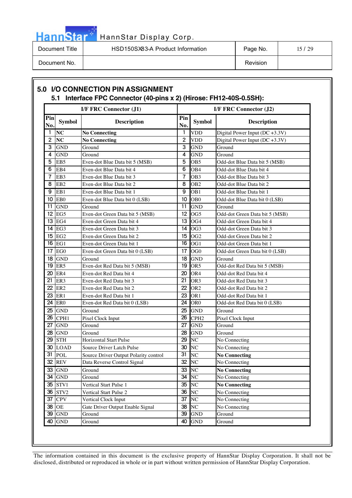# Hann<sup>Star</sub></sup>

# HannStar Display Corp.

Document Title | HSD150SX83-A Product Information | Page No. | 15 / 29 Document No. Notice that the contract of the contract of the contract of the contract of the contract of the contract of the contract of the contract of the contract of the contract of the contract of the contract of the c

|                |                 | <b>I/F FRC Connector (J1)</b>         |                 | <b>I/F FRC Connector (J2)</b> |                                    |  |  |  |  |  |  |
|----------------|-----------------|---------------------------------------|-----------------|-------------------------------|------------------------------------|--|--|--|--|--|--|
| Pin<br>No.     | <b>Symbol</b>   | <b>Description</b>                    | Pin<br>No.      | <b>Symbol</b>                 | <b>Description</b>                 |  |  |  |  |  |  |
| -1             | <b>NC</b>       | <b>No Connecting</b>                  | 1               | <b>VDD</b>                    | Digital Power Input (DC +3.3V)     |  |  |  |  |  |  |
| $\overline{2}$ | <b>NC</b>       | <b>No Connecting</b>                  | $\overline{2}$  | <b>VDD</b>                    | Digital Power Input ( $DC +3.3V$ ) |  |  |  |  |  |  |
| 3              | <b>GND</b>      | Ground                                | 3               | <b>GND</b>                    | Ground                             |  |  |  |  |  |  |
| 4              | <b>GND</b>      | Ground                                | 4               | <b>GND</b>                    | Ground                             |  |  |  |  |  |  |
| 5              | EB <sub>5</sub> | Even-dot Blue Data bit 5 (MSB)        | 5               | OB <sub>5</sub>               | Odd-dot Blue Data bit 5 (MSB)      |  |  |  |  |  |  |
| 6              | EB4             | Even-dot Blue Data bit 4              | 6               | OB4                           | Odd-dot Blue Data bit 4            |  |  |  |  |  |  |
| 7              | EB <sub>3</sub> | Even-dot Blue Data bit 3              | $\overline{7}$  | OB <sub>3</sub>               | Odd-dot Blue Data bit 3            |  |  |  |  |  |  |
| 8              | EB <sub>2</sub> | Even-dot Blue Data bit 2              | 8               | OB <sub>2</sub>               | Odd-dot Blue Data bit 2            |  |  |  |  |  |  |
| 9              | EB1             | Even-dot Blue Data bit 1              | 9               | OB <sub>1</sub>               | Odd-dot Blue Data bit 1            |  |  |  |  |  |  |
| 10             | EB <sub>0</sub> | Even-dot Blue Data bit 0 (LSB)        | 10              | OB <sub>0</sub>               | Odd-dot Blue Data bit 0 (LSB)      |  |  |  |  |  |  |
| 11             | <b>GND</b>      | Ground                                | 11              | <b>GND</b>                    | Ground                             |  |  |  |  |  |  |
| 12             | EG5             | Even-dot Green Data bit 5 (MSB)       | 12              | OG <sub>5</sub>               | Odd-dot Green Data bit 5 (MSB)     |  |  |  |  |  |  |
| 13             | EG4             | Even-dot Green Data bit 4             | 13              | OG4                           | Odd-dot Green Data bit 4           |  |  |  |  |  |  |
| 14             | EG <sub>3</sub> | Even-dot Green Data bit 3             | 14              | OG <sub>3</sub>               | Odd-dot Green Data bit 3           |  |  |  |  |  |  |
| 15             | EG <sub>2</sub> | Even-dot Green Data bit 2             | 15              | OG <sub>2</sub>               | Odd-dot Green Data bit 2           |  |  |  |  |  |  |
| 16             | EG1             | Even-dot Green Data bit 1             | 16              | OG1                           | Odd-dot Green Data bit 1           |  |  |  |  |  |  |
| 17             | EG <sub>0</sub> | Even-dot Green Data bit 0 (LSB)       | 17              | OG <sub>0</sub>               | Odd-dot Green Data bit 0 (LSB)     |  |  |  |  |  |  |
| 18             | <b>GND</b>      | Ground                                | 18              | <b>GND</b>                    | Ground                             |  |  |  |  |  |  |
| 19             | ER <sub>5</sub> | Even-dot Red Data bit 5 (MSB)         | 19              | OR <sub>5</sub>               | Odd-dot Red Data bit 5 (MSB)       |  |  |  |  |  |  |
| 20             | ER4             | Even-dot Red Data bit 4               | 20              | OR4                           | Odd-dot Red Data bit 4             |  |  |  |  |  |  |
| 21             | ER3             | Even-dot Red Data bit 3               | 21              | OR <sub>3</sub>               | Odd-dot Red Data bit 3             |  |  |  |  |  |  |
| 22             | ER <sub>2</sub> | Even-dot Red Data bit 2               | 22              | OR <sub>2</sub>               | Odd-dot Red Data bit 2             |  |  |  |  |  |  |
| 23             | ER1             | Even-dot Red Data bit 1               | 23              | OR <sub>1</sub>               | Odd-dot Red Data bit 1             |  |  |  |  |  |  |
| 24             | ER <sub>0</sub> | Even-dot Red Data bit 0 (LSB)         | 24              | OR <sub>0</sub>               | Odd-dot Red Data bit 0 (LSB)       |  |  |  |  |  |  |
| 25             | <b>GND</b>      | Ground                                | 25              | <b>GND</b>                    | Ground                             |  |  |  |  |  |  |
| 26             | CPH1            | Pixel Clock Input                     | 26              | CPH <sub>2</sub>              | Pixel Clock Input                  |  |  |  |  |  |  |
| 27             | <b>GND</b>      | Ground                                | 27              | <b>GND</b>                    | Ground                             |  |  |  |  |  |  |
| 28             | <b>GND</b>      | Ground                                | 28              | <b>GND</b>                    | Ground                             |  |  |  |  |  |  |
| 29             | <b>STH</b>      | Horizontal Start Pulse                | 29              | N <sub>C</sub>                | No Connecting                      |  |  |  |  |  |  |
| 30             | <b>LOAD</b>     | Source Driver Latch Pulse             | 30              | <b>NC</b>                     | No Connecting                      |  |  |  |  |  |  |
| 31             | POL             | Source Driver Output Polarity control | $\overline{31}$ | N <sub>C</sub>                | <b>No Connecting</b>               |  |  |  |  |  |  |
| 32             | <b>REV</b>      | Data Reverse Control Signal           | 32              | NC                            | No Connecting                      |  |  |  |  |  |  |
| 33             | <b>GND</b>      | Ground                                | 33              | NC                            | <b>No Connecting</b>               |  |  |  |  |  |  |
| 34             | <b>GND</b>      | Ground                                | 34              | NC                            | No Connecting                      |  |  |  |  |  |  |
| 35             | STV1            | Vertical Start Pulse 1                | 35              | N <sub>C</sub>                | <b>No Connecting</b>               |  |  |  |  |  |  |
| 36             | STV2            | Vertical Start Pulse 2                | 36              | N <sub>C</sub>                | No Connecting                      |  |  |  |  |  |  |
| 37             | <b>CPV</b>      | Vertical Clock Input                  | 37              | N <sub>C</sub>                | No Connecting                      |  |  |  |  |  |  |
| 38             | <b>OE</b>       | Gate Driver Output Enable Signal      | 38              | N <sub>C</sub>                | No Connecting                      |  |  |  |  |  |  |
| 39             | <b>GND</b>      | Ground                                | $\overline{39}$ | <b>GND</b>                    | Ground                             |  |  |  |  |  |  |
| 40             | <b>GND</b>      | Ground                                | 40              | <b>GND</b>                    | Ground                             |  |  |  |  |  |  |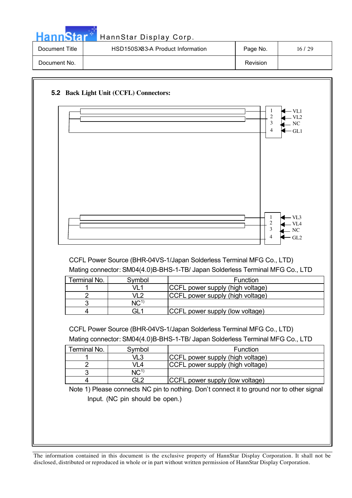| HannStan       | HannStar Display Corp.           |          |       |
|----------------|----------------------------------|----------|-------|
| Document Title | HSD150SX83-A Product Information | Page No. | 16/29 |
| Document No.   |                                  | Revision |       |

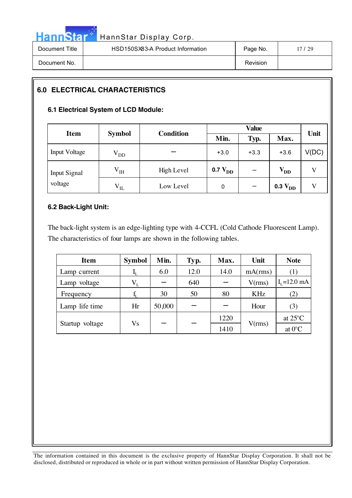| <b>Hannstar</b> | HannStar Display Corp.           |          |         |
|-----------------|----------------------------------|----------|---------|
| Document Title  | HSD150SX83-A Product Information | Page No. | 17 / 29 |
| Document No.    |                                  | Revision |         |

## **6.0 ELECTRICAL CHARACTERISTICS**

#### **6.1 Electrical System of LCD Module:**

| <b>Item</b>             | <b>Symbol</b>    | <b>Condition</b> | Min.         | Typ.   | Max.         | Unit  |
|-------------------------|------------------|------------------|--------------|--------|--------------|-------|
| <b>Input Voltage</b>    | $V_{DD}$         |                  | $+3.0$       | $+3.3$ | $+3.6$       | V(DC) |
| Input Signal<br>voltage | V <sub>IH</sub>  | High Level       | 0.7 $V_{DD}$ |        | $V_{DD}$     |       |
|                         | $\rm V_{\rm IL}$ | Low Level        | 0            |        | $0.3 V_{DD}$ |       |

#### **6.2 Back-Light Unit:**

The back-light system is an edge-lighting type with 4-CCFL (Cold Cathode Fluorescent Lamp). The characteristics of four lamps are shown in the following tables.

| <b>Item</b>     | <b>Symbol</b> | Min.   | Typ. | Max. | Unit       | <b>Note</b>       |
|-----------------|---------------|--------|------|------|------------|-------------------|
| Lamp current    |               | 6.0    | 12.0 | 14.0 | mA(rms)    |                   |
| Lamp voltage    | $V_{L}$       |        | 640  |      | V(rms)     | $I_{I}$ =12.0 mA  |
| Frequency       |               | 30     | 50   | 80   | <b>KHz</b> | (2)               |
| Lamp life time  | Hr            | 50,000 |      |      | Hour       | (3)               |
|                 |               |        |      | 1220 |            | at $25^{\circ}$ C |
| Startup voltage | Vs            |        |      | 1410 | V(rms)     | at $0^{\circ}$ C  |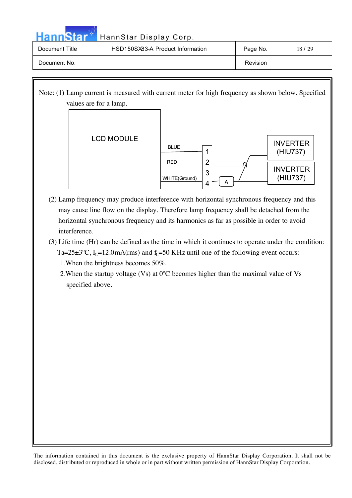| <b>HannStar</b> | HannStar Display Corp.           |                 |       |
|-----------------|----------------------------------|-----------------|-------|
| Document Title  | HSD150SX83-A Product Information | Page No.        | 18/29 |
| Document No.    |                                  | <b>Revision</b> |       |

Note: (1) Lamp current is measured with current meter for high frequency as shown below. Specified values are for a lamp.



- (2) Lamp frequency may produce interference with horizontal synchronous frequency and this may cause line flow on the display. Therefore lamp frequency shall be detached from the horizontal synchronous frequency and its harmonics as far as possible in order to avoid interference.
- (3) Life time (Hr) can be defined as the time in which it continues to operate under the condition: Ta=25 $\pm$ 3°C, I<sub>L</sub>=12.0mA(rms) and f<sub>L</sub>=50 KHz until one of the following event occurs: 1.When the brightness becomes 50%.

2.When the startup voltage (Vs) at 0ºC becomes higher than the maximal value of Vs specified above.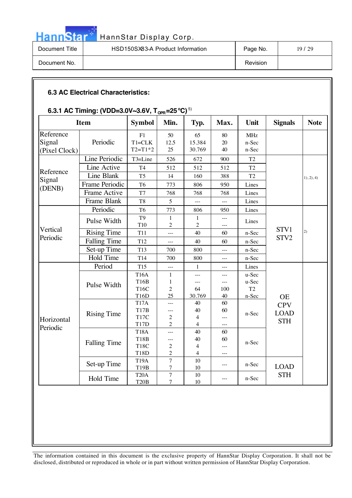# Hann Star<sup>t HannStar Display Corp.</sup>

| Document Title | HSD150SX83-A Product Information | Page No. | 19/29 |
|----------------|----------------------------------|----------|-------|
| Document No.   |                                  | Revision |       |

#### **6.3 AC Electrical Characteristics:**

### 6.3.1 AC Timing: (VDD=3.0V~3.6V, T<sub>oPR</sub>=25 °C)  $^{5)}$

|                                      | $0.0.1$ AV Thinny. (TDD=0.01%0.01, T <sub>OPR</sub> =25 O)<br><b>Item</b> | <b>Symbol</b>                                            | Min.                                                        | Typ.                                         | Max.                                  | Unit                         | <b>Signals</b>                          | <b>Note</b> |
|--------------------------------------|---------------------------------------------------------------------------|----------------------------------------------------------|-------------------------------------------------------------|----------------------------------------------|---------------------------------------|------------------------------|-----------------------------------------|-------------|
| Reference<br>Signal<br>(Pixel Clock) | Periodic                                                                  | F1<br>$T1 = CLK$<br>$T2 = T1*2$                          | 50<br>12.5<br>25                                            | 65<br>15.384<br>30.769                       | 80<br>20<br>40                        | <b>MHz</b><br>n-Sec<br>n-Sec |                                         |             |
|                                      | Line Periodic                                                             | T3=Line                                                  | 526                                                         | 672                                          | 900                                   | T <sub>2</sub>               |                                         |             |
|                                      | Line Active                                                               | T <sub>4</sub>                                           | 512                                                         | 512                                          | 512                                   | T <sub>2</sub>               |                                         |             |
| Reference                            | Line Blank                                                                | T <sub>5</sub>                                           | 14                                                          | 160                                          | 388                                   | T <sub>2</sub>               |                                         | 1), 2), 4)  |
| Signal                               | Frame Periodic                                                            | T <sub>6</sub>                                           | 773                                                         | 806                                          | 950                                   | Lines                        |                                         |             |
| (DENB)                               | Frame Active                                                              | T7                                                       | 768                                                         | 768                                          | 768                                   | Lines                        |                                         |             |
|                                      | Frame Blank                                                               | T <sub>8</sub>                                           | 5                                                           | $\overline{a}$                               | $\overline{a}$                        | Lines                        |                                         |             |
|                                      | Periodic                                                                  | T <sub>6</sub>                                           | 773                                                         | 806                                          | 950                                   | Lines                        |                                         |             |
|                                      | Pulse Width                                                               | T <sub>9</sub><br>T <sub>10</sub>                        | $\mathbf{1}$<br>$\sqrt{2}$                                  | $\mathbf{1}$<br>$\sqrt{2}$                   | $---$                                 | Lines                        | STV1<br>STV2                            |             |
| Vertical                             | <b>Rising Time</b>                                                        | T11                                                      |                                                             | 40                                           | 60                                    | n-Sec                        |                                         | 2)          |
| Periodic                             | <b>Falling Time</b>                                                       | T <sub>12</sub>                                          | ---                                                         | 40                                           | 60                                    | n-Sec                        |                                         |             |
|                                      | Set-up Time                                                               | T <sub>13</sub>                                          | 700                                                         | 800                                          | $\overline{a}$                        | n-Sec                        |                                         |             |
|                                      | Hold Time                                                                 | T14                                                      | 700                                                         | 800                                          | $---$                                 | n-Sec                        |                                         |             |
|                                      | Period                                                                    | <b>T15</b>                                               | ---                                                         | $\mathbf{1}$                                 | $---$                                 | Lines                        |                                         |             |
|                                      |                                                                           | <b>T16A</b><br>T16B                                      | $\mathbf{1}$<br>$\mathbf{1}$                                |                                              | ---                                   | u-Sec<br>u-Sec               |                                         |             |
|                                      | Pulse Width                                                               | <b>T16C</b><br><b>T16D</b>                               | $\overline{c}$<br>25                                        | $\overline{a}$<br>64<br>30.769               | $\overline{\phantom{a}}$<br>100<br>40 | T2<br>n-Sec                  | <b>OE</b>                               |             |
| Horizontal<br>Periodic               | <b>Rising Time</b>                                                        | <b>T17A</b><br>T17B<br>T <sub>17</sub> C<br><b>T17D</b>  | $\overline{a}$<br>---<br>$\boldsymbol{2}$<br>$\overline{c}$ | 40<br>40<br>4<br>$\overline{4}$              | 60<br>60<br>---<br>$---$              | n-Sec                        | <b>CPV</b><br><b>LOAD</b><br><b>STH</b> |             |
|                                      | <b>Falling Time</b>                                                       | <b>T18A</b><br><b>T18B</b><br><b>T18C</b><br><b>T18D</b> | ---<br>$\overline{a}$<br>$\sqrt{2}$<br>$\overline{2}$       | 40<br>40<br>$\overline{4}$<br>$\overline{4}$ | 60<br>60<br>---<br>$---$              | n-Sec                        |                                         |             |
|                                      | Set-up Time                                                               | <b>T19A</b><br>T19B                                      | $\overline{7}$<br>$\overline{7}$                            | 10<br>10                                     | $---$                                 | n-Sec                        | <b>LOAD</b>                             |             |
|                                      | Hold Time                                                                 | T20A<br><b>T20B</b>                                      | $\tau$<br>$\overline{7}$                                    | 10<br>10                                     | $---$                                 | n-Sec                        | <b>STH</b>                              |             |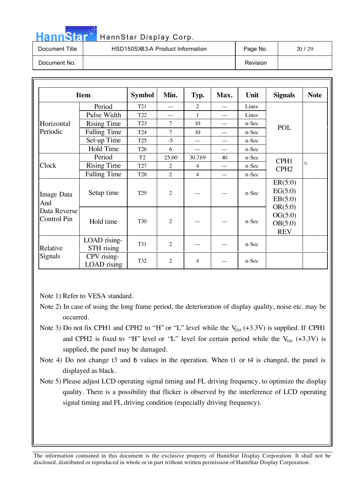| <b>HannStar</b> | HannStar Display Corp.           |          |       |
|-----------------|----------------------------------|----------|-------|
| Document Title  | HSD150SX83-A Product Information | Page No. | 20/29 |
| Document No.    |                                  | Revision |       |

|                                                         | <b>Item</b>                | <b>Symbol</b>   | Min.           | Typ.           | Max.  | Unit    | <b>Signals</b>                                                               | <b>Note</b>      |    |
|---------------------------------------------------------|----------------------------|-----------------|----------------|----------------|-------|---------|------------------------------------------------------------------------------|------------------|----|
|                                                         | Period                     | T <sub>21</sub> | $---$          | $\overline{2}$ | $---$ | Lines   |                                                                              |                  |    |
|                                                         | Pulse Width                | T <sub>22</sub> | ---            | 1              | $---$ | Lines   |                                                                              |                  |    |
| Horizontal                                              | <b>Rising Time</b>         | T <sub>23</sub> | 7              | 10             | $---$ | n-Sec   |                                                                              |                  |    |
| Periodic                                                | <b>Falling Time</b>        | T24             | 7              | 10             |       | n-Sec   | <b>POL</b>                                                                   |                  |    |
|                                                         | Set-up Time                | T <sub>25</sub> | $-5$           | $---$          | $---$ | n-Sec   |                                                                              |                  |    |
|                                                         | Hold Time                  | T <sub>26</sub> | 6              | $\cdots$       | $---$ | n-Sec   |                                                                              |                  |    |
|                                                         | Period                     | T <sub>2</sub>  | 25.00          | 30.769         | 40    | n-Sec   | CPH1                                                                         |                  |    |
| Clock                                                   | <b>Rising Time</b>         | T <sub>27</sub> | $\overline{c}$ | $\overline{4}$ | $---$ | n-Sec   |                                                                              | CPH <sub>2</sub> | 3) |
|                                                         | <b>Falling Time</b>        | T <sub>28</sub> | $\overline{2}$ | $\overline{4}$ | $---$ | $n-Sec$ |                                                                              |                  |    |
| Image Data<br>And<br>Data Reverse<br><b>Control Pin</b> | Setup time                 | T <sub>29</sub> | $\overline{c}$ |                | $---$ | $n-Sec$ | ER(5:0)<br>EG(5:0)<br>EB(5:0)<br>OR(5:0)<br>OG(5:0)<br>OB(5:0)<br><b>REV</b> |                  |    |
|                                                         | Hold time                  | <b>T30</b>      | $\overline{c}$ |                |       | $n-Sec$ |                                                                              |                  |    |
| Relative                                                | LOAD rising-<br>STH rising | T31             | $\overline{c}$ | $---$          | ---   | n-Sec   |                                                                              |                  |    |
| Signals                                                 | CPV rising-<br>LOAD rising | T32             | 2              | 4              | ---   | $u-Sec$ |                                                                              |                  |    |

Note 1) Refer to VESA standard.

- Note 2) In case of using the long frame period, the deterioration of display quality, noise etc. may be occurred.
- Note 3) Do not fix CPH1 and CPH2 to "H" or "L" level while the  $V_{DD}$  (+3.3V) is supplied. If CPH1 and CPH2 is fixed to "H" level or "L" level for certain period while the  $V_{DD}$  (+3.3V) is supplied, the panel may be damaged.
- Note 4) Do not change t3 and 6 values in the operation. When t1 or t4 is changed, the panel is displayed as black.
- Note 5) Please adjust LCD operating signal timing and FL driving frequency, to optimize the display quality. There is a possibility that flicker is observed by the interference of LCD operating signal timing and FL driving condition (especially driving frequency).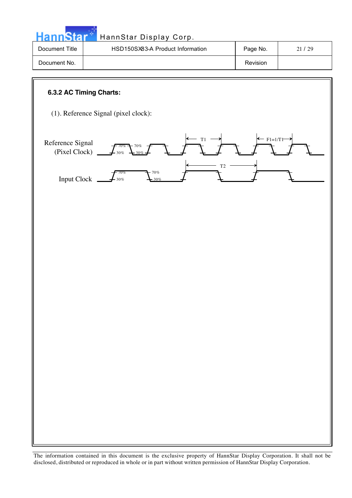**Hann**Star HannStar Display Corp. Document Title | HSD150SX83-A Product Information | Page No. | 21/29

Document No. 2008 and 2009 and 2009 and 2009 and 2009 and 2009 and 2009 and 2009 and 2009 and 2009 and 2009 and 2009 and 2009 and 2009 and 2009 and 2009 and 2009 and 2009 and 2009 and 2009 and 2009 and 2009 and 2009 and 20

#### **6.3.2 AC Timing Charts:**

(1). Reference Signal (pixel clock):

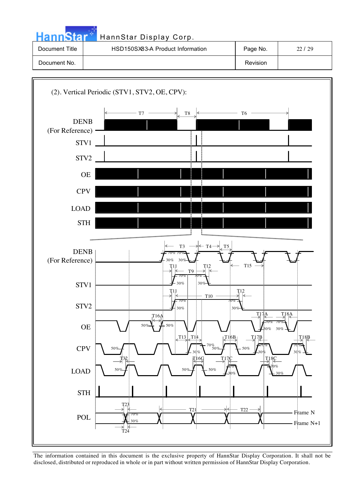|                | HannStar Display Corp.           |          |         |
|----------------|----------------------------------|----------|---------|
| Document Title | HSD150SX83-A Product Information | Page No. | 22.1.29 |
| Document No.   |                                  | Revision |         |

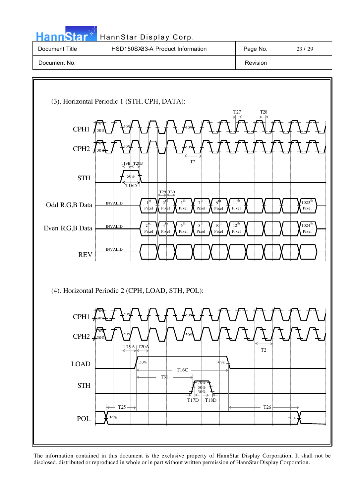| <b>HannStar</b> | HannStar Display Corp.           |          |       |
|-----------------|----------------------------------|----------|-------|
| Document Title  | HSD150SX83-A Product Information | Page No. | 23/29 |
| Document No.    |                                  | Revision |       |

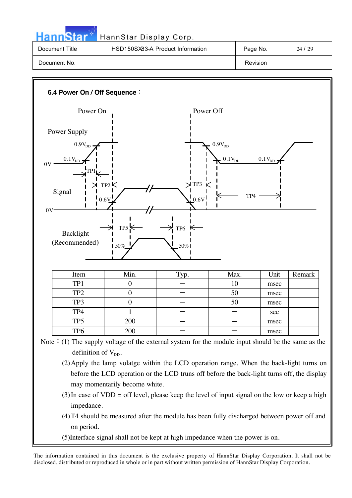| <b>HannStar</b> | HannStar Display Corp.           |          |       |
|-----------------|----------------------------------|----------|-------|
| Document Title  | HSD150SX83-A Product Information | Page No. | 24/29 |
| Document No.    |                                  | Revision |       |



Note  $\cdot$  (1) The supply voltage of the external system for the module input should be the same as the definition of  $V_{DD}$ .

- (2)Apply the lamp volatge within the LCD operation range. When the back-light turns on before the LCD operation or the LCD truns off before the back-light turns off, the display may momentarily become white.
- $(3)$  In case of VDD = off level, please keep the level of input signal on the low or keep a high impedance.
- (4)T4 should be measured after the module has been fully discharged between power off and on period.
- (5)Interface signal shall not be kept at high impedance when the power is on.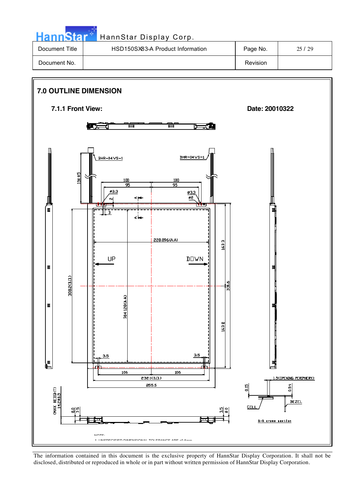HannStar<sup>th</sup> HannStar Display Corp.

| Document Title | HSD150SX83-A Product Information | Page No.        | 25/29 |
|----------------|----------------------------------|-----------------|-------|
| Document No.   |                                  | <b>Revision</b> |       |

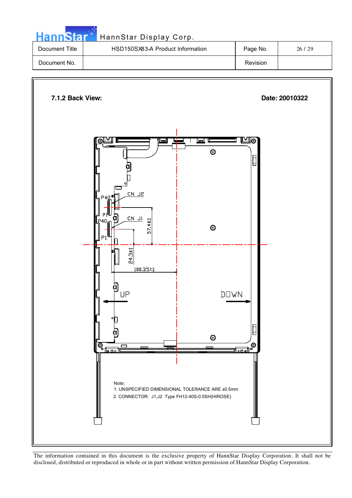| HannStar*      | HannStar Display Corp.           |          |         |
|----------------|----------------------------------|----------|---------|
| Document Title | HSD150SX83-A Product Information | Page No. | 26 / 29 |
|                |                                  |          |         |

Document No. 2008 **Document No.** 2008 **Revision** 

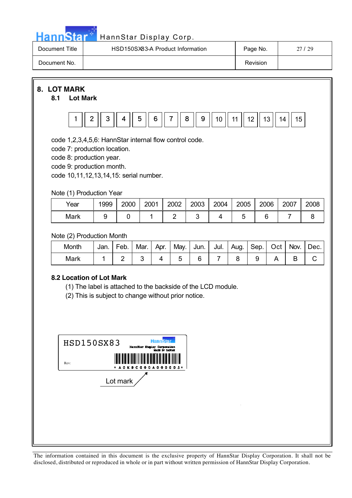| HannStar <sup>**</sup> | HannStar Display Corp.           |          |       |
|------------------------|----------------------------------|----------|-------|
| Document Title         | HSD150SX83-A Product Information | Page No. | 27/29 |
| Document No.           |                                  | Revision |       |

**8. LOT MARK**

#### **8.1 Lot Mark**



code 1,2,3,4,5,6: HannStar internal flow control code.

code 7: production location.

code 8: production year.

code 9: production month.

code 10,11,12,13,14,15: serial number.

Note (1) Production Year

| Year | 1999 | 2000 | 2001 | 2002 | 2003 | 2004 | 2005 | 2006 | 2007 | 2008 |
|------|------|------|------|------|------|------|------|------|------|------|
| Mark |      |      |      |      |      |      |      |      |      |      |

Note (2) Production Month

| Month | Jan. | Feb. | Mar. | Apr. | May. | Jun. | Jul. | Aug. | Sep. | Oct | Nov. | Dec. |
|-------|------|------|------|------|------|------|------|------|------|-----|------|------|
| Mark  |      |      |      |      |      |      |      |      |      |     |      |      |

#### **8.2 Location of Lot Mark**

(1) The label is attached to the backside of the LCD module.

(2) This is subject to change without prior notice.

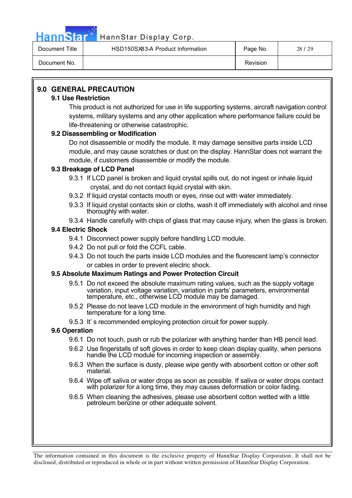

# HannStar<sup>M</sup> HannStar Display Corp.

| Document Title | HSD150SX83-A Product Information | Page No. | 28/29 |
|----------------|----------------------------------|----------|-------|
| Document No.   |                                  | Revision |       |

### **9.0 GENERAL PRECAUTION**

#### **9.1 Use Restriction**

This product is not authorized for use in life supporting systems, aircraft navigation control systems, military systems and any other application where performance failure could be life-threatening or otherwise catastrophic.

#### **9.2 Disassembling or Modification**

Do not disassemble or modify the module. It may damage sensitive parts inside LCD module, and may cause scratches or dust on the display. HannStar does not warrant the module, if customers disassemble or modify the module.

#### **9.3 Breakage of LCD Panel**

9.3.1 If LCD panel is broken and liquid crystal spills out, do not ingest or inhale liquid crystal, and do not contact liquid crystal with skin.

- 9.3.2 If liquid crystal contacts mouth or eyes, rinse out with water immediately.
- 9.3.3 If liquid crystal contacts skin or cloths, wash it off immediately with alcohol and rinse thoroughly with water.
- 9.3.4 Handle carefully with chips of glass that may cause injury, when the glass is broken.

### **9.4 Electric Shock**

- 9.4.1 Disconnect power supply before handling LCD module.
- 9.4.2 Do not pull or fold the CCFL cable.
- 9.4.3 Do not touch the parts inside LCD modules and the fluorescent lamp's connector or cables in order to prevent electric shock.

#### **9.5 Absolute Maximum Ratings and Power Protection Circuit**

- 9.5.1 Do not exceed the absolute maximum rating values, such as the supply voltage variation, input voltage variation, variation in parts' parameters, environmental temperature, etc., otherwise LCD module may be damaged.
- 9.5.2 Please do not leave LCD module in the environment of high humidity and high temperature for a long time.
- 9.5.3 It' s recommended employing protection circuit for power supply.

#### **9.6 Operation**

- 9.6.1 Do not touch, push or rub the polarizer with anything harder than HB pencil lead.
- 9.6.2 Use fingerstalls of soft gloves in order to keep clean display quality, when persons handle the LCD module for incoming inspection or assembly.
- 9.6.3 When the surface is dusty, please wipe gently with absorbent cotton or other soft material.
- 9.6.4 Wipe off saliva or water drops as soon as possible. If saliva or water drops contact with polarizer for a long time, they may causes deformation or color fading.
- 9.6.5 When cleaning the adhesives, please use absorbent cotton wetted with a little petroleum benzine or other adequate solvent.